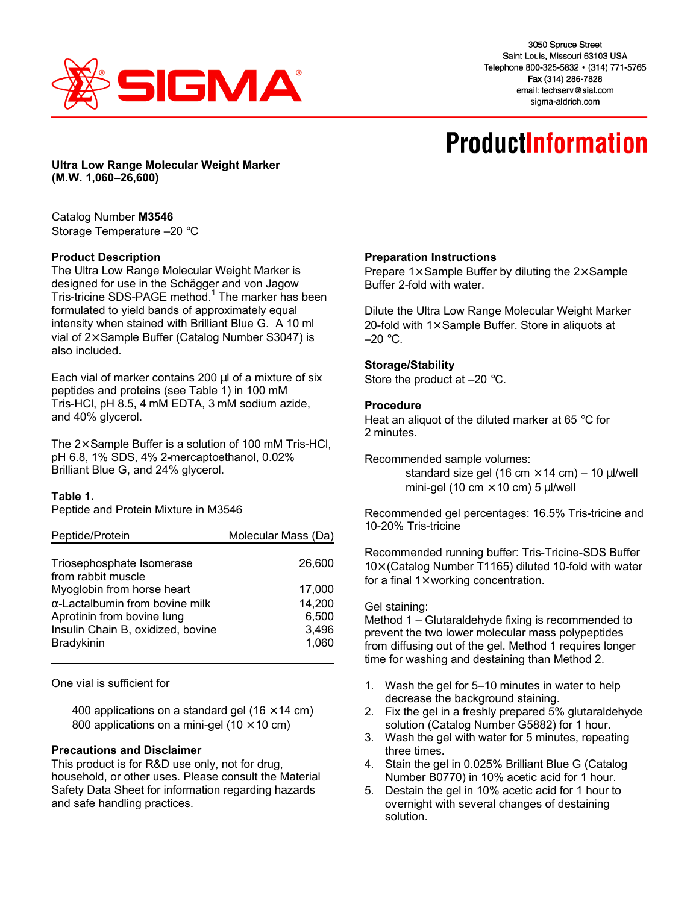

3050 Spruce Street Saint Louis, Missouri 63103 USA Telephone 800-325-5832 · (314) 771-5765 Fax (314) 286-7828 email: techserv@sial.com sigma-aldrich.com

# **ProductInformation**

**Ultra Low Range Molecular Weight Marker (M.W. 1,060–26,600)**

Catalog Number **M3546** Storage Temperature –20 °C

# **Product Description**

The Ultra Low Range Molecular Weight Marker is designed for use in the Schägger and von Jagow Tris-tricine SDS-PAGE method.<sup>1</sup> The marker has been formulated to yield bands of approximately equal intensity when stained with Brilliant Blue G. A 10 ml vial of  $2 \times$  Sample Buffer (Catalog Number S3047) is also included.

Each vial of marker contains 200 μl of a mixture of six peptides and proteins (see Table 1) in 100 mM Tris-HCl, pH 8.5, 4 mM EDTA, 3 mM sodium azide, and 40% glycerol.

The 2× Sample Buffer is a solution of 100 mM Tris-HCl, pH 6.8, 1% SDS, 4% 2-mercaptoethanol, 0.02% Brilliant Blue G, and 24% glycerol.

# **Table 1.**

Peptide and Protein Mixture in M3546

| Peptide/Protein                                 | Molecular Mass (Da) |
|-------------------------------------------------|---------------------|
| Triosephosphate Isomerase<br>from rabbit muscle | 26,600              |
| Myoglobin from horse heart                      | 17,000              |
| $\alpha$ -Lactalbumin from bovine milk          | 14,200              |
| Aprotinin from bovine lung                      | 6,500               |
| Insulin Chain B, oxidized, bovine               | 3,496               |
| Bradykinin                                      | 1,060               |

One vial is sufficient for

400 applications on a standard gel (16  $\times$  14 cm) 800 applications on a mini-gel (10  $\times$  10 cm)

## **Precautions and Disclaimer**

This product is for R&D use only, not for drug, household, or other uses. Please consult the Material Safety Data Sheet for information regarding hazards and safe handling practices.

## **Preparation Instructions**

Prepare  $1 \times$  Sample Buffer by diluting the  $2 \times$  Sample Buffer 2-fold with water.

Dilute the Ultra Low Range Molecular Weight Marker 20-fold with  $1\times$  Sample Buffer. Store in aliquots at  $-20$  °C.

# **Storage/Stability**

Store the product at –20 °C.

## **Procedure**

Heat an aliquot of the diluted marker at 65 °C for 2 minutes.

Recommended sample volumes:

standard size gel (16 cm  $\times$  14 cm) – 10 μl/well mini-gel (10 cm  $\times$  10 cm) 5 μl/well

Recommended gel percentages: 16.5% Tris-tricine and 10-20% Tris-tricine

Recommended running buffer: Tris-Tricine-SDS Buffer 10× (Catalog Number T1165) diluted 10-fold with water for a final  $1\times$  working concentration.

## Gel staining:

Method 1 – Glutaraldehyde fixing is recommended to prevent the two lower molecular mass polypeptides from diffusing out of the gel. Method 1 requires longer time for washing and destaining than Method 2.

- 1. Wash the gel for 5–10 minutes in water to help decrease the background staining.
- 2. Fix the gel in a freshly prepared 5% glutaraldehyde solution (Catalog Number G5882) for 1 hour.
- 3. Wash the gel with water for 5 minutes, repeating three times.
- 4. Stain the gel in 0.025% Brilliant Blue G (Catalog Number B0770) in 10% acetic acid for 1 hour.
- 5. Destain the gel in 10% acetic acid for 1 hour to overnight with several changes of destaining solution.